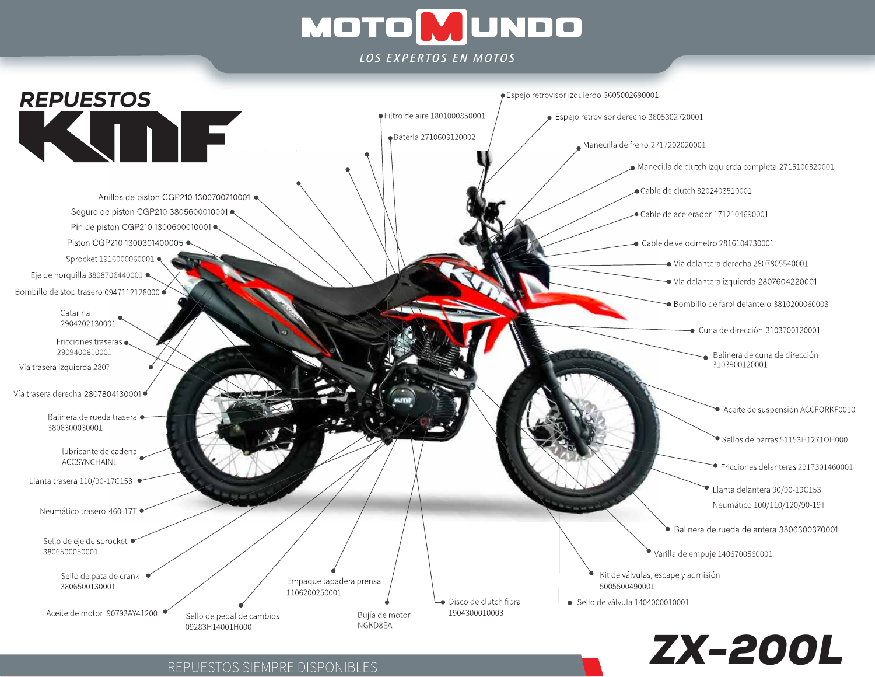# **MOTOMUNDO**

**IOS EXPERTOS EN MOTOS** 



REPUESTOS SIEMPRE DISPONIBLES